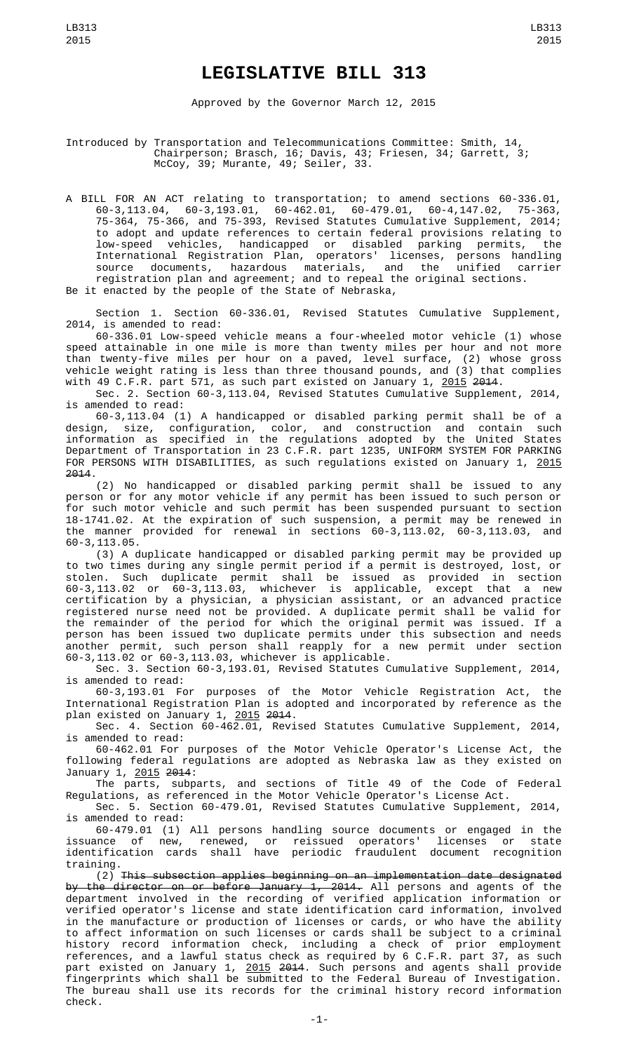## **LEGISLATIVE BILL 313**

Approved by the Governor March 12, 2015

## Introduced by Transportation and Telecommunications Committee: Smith, 14, Chairperson; Brasch, 16; Davis, 43; Friesen, 34; Garrett, 3; McCoy, 39; Murante, 49; Seiler, 33.

A BILL FOR AN ACT relating to transportation; to amend sections 60-336.01, 60-3,113.04, 60-3,193.01, 60-462.01, 60-479.01, 60-4,147.02, 75-363, 75-364, 75-366, and 75-393, Revised Statutes Cumulative Supplement, 2014; to adopt and update references to certain federal provisions relating to low-speed vehicles, handicapped or disabled parking permits, the International Registration Plan, operators' licenses, persons handling source documents, hazardous materials, and the unified carrier registration plan and agreement; and to repeal the original sections. Be it enacted by the people of the State of Nebraska,

Section 1. Section 60-336.01, Revised Statutes Cumulative Supplement, 2014, is amended to read:

60-336.01 Low-speed vehicle means a four-wheeled motor vehicle (1) whose speed attainable in one mile is more than twenty miles per hour and not more than twenty-five miles per hour on a paved, level surface, (2) whose gross vehicle weight rating is less than three thousand pounds, and (3) that complies with 49 C.F.R. part 571, as such part existed on January 1, <u>2015</u> <del>201</del>4.

Sec. 2. Section 60-3,113.04, Revised Statutes Cumulative Supplement, 2014, is amended to read:

60-3,113.04 (1) A handicapped or disabled parking permit shall be of a design, size, configuration, color, and construction and contain such information as specified in the regulations adopted by the United States Department of Transportation in 23 C.F.R. part 1235, UNIFORM SYSTEM FOR PARKING FOR PERSONS WITH DISABILITIES, as such regulations existed on January 1, 2015 2014.

(2) No handicapped or disabled parking permit shall be issued to any person or for any motor vehicle if any permit has been issued to such person or for such motor vehicle and such permit has been suspended pursuant to section 18-1741.02. At the expiration of such suspension, a permit may be renewed in the manner provided for renewal in sections 60-3,113.02, 60-3,113.03, and 60-3,113.05.

(3) A duplicate handicapped or disabled parking permit may be provided up to two times during any single permit period if a permit is destroyed, lost, or stolen. Such duplicate permit shall be issued as provided in section 60-3,113.02 or 60-3,113.03, whichever is applicable, except that a new certification by a physician, a physician assistant, or an advanced practice registered nurse need not be provided. A duplicate permit shall be valid for the remainder of the period for which the original permit was issued. If a person has been issued two duplicate permits under this subsection and needs another permit, such person shall reapply for a new permit under section 60-3,113.02 or 60-3,113.03, whichever is applicable.

Sec. 3. Section 60-3,193.01, Revised Statutes Cumulative Supplement, 2014, is amended to read:

60-3,193.01 For purposes of the Motor Vehicle Registration Act, the International Registration Plan is adopted and incorporated by reference as the plan existed on January 1, 2015 2014.

Sec. 4. Section 60-462.01, Revised Statutes Cumulative Supplement, 2014, is amended to read:

60-462.01 For purposes of the Motor Vehicle Operator's License Act, the following federal regulations are adopted as Nebraska law as they existed on January 1, 2015 2014:

The parts, subparts, and sections of Title 49 of the Code of Federal Regulations, as referenced in the Motor Vehicle Operator's License Act.

Sec. 5. Section 60-479.01, Revised Statutes Cumulative Supplement, 2014, is amended to read:

60-479.01 (1) All persons handling source documents or engaged in the issuance of new, renewed, or reissued operators' licenses or state identification cards shall have periodic fraudulent document recognition training.

(2) This subsection applies beginning on an implementation date designated <del>by the director on or before January 1, 2014.</del> All persons and agents of the department involved in the recording of verified application information or verified operator's license and state identification card information, involved in the manufacture or production of licenses or cards, or who have the ability to affect information on such licenses or cards shall be subject to a criminal history record information check, including a check of prior employment references, and a lawful status check as required by 6 C.F.R. part 37, as such part existed on January 1, <u>2015</u> <del>2014</del>. Such persons and agents shall provide fingerprints which shall be submitted to the Federal Bureau of Investigation. The bureau shall use its records for the criminal history record information check.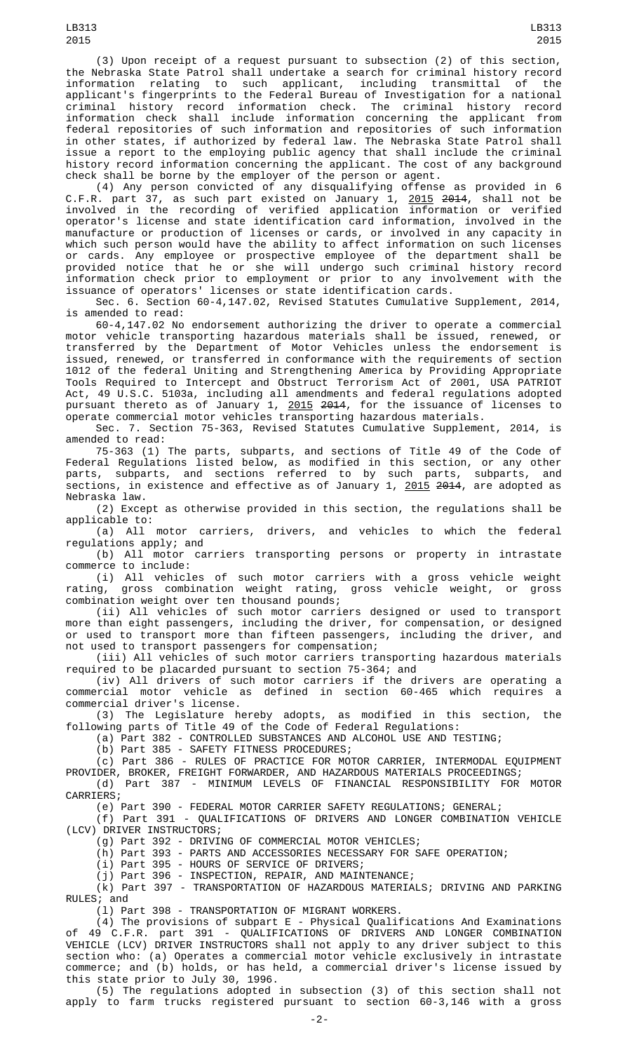(3) Upon receipt of a request pursuant to subsection (2) of this section, the Nebraska State Patrol shall undertake a search for criminal history record information relating to such applicant, including transmittal applicant's fingerprints to the Federal Bureau of Investigation for a national criminal history record information check. The criminal history record information check shall include information concerning the applicant from federal repositories of such information and repositories of such information in other states, if authorized by federal law. The Nebraska State Patrol shall issue a report to the employing public agency that shall include the criminal history record information concerning the applicant. The cost of any background check shall be borne by the employer of the person or agent.

(4) Any person convicted of any disqualifying offense as provided in 6 C.F.R. part 37, as such part existed on January 1, <u>2015</u> <del>201</del>4, shall not be involved in the recording of verified application information or verified operator's license and state identification card information, involved in the manufacture or production of licenses or cards, or involved in any capacity in which such person would have the ability to affect information on such licenses or cards. Any employee or prospective employee of the department shall be provided notice that he or she will undergo such criminal history record information check prior to employment or prior to any involvement with the issuance of operators' licenses or state identification cards.

Sec. 6. Section 60-4,147.02, Revised Statutes Cumulative Supplement, 2014, is amended to read:

60-4,147.02 No endorsement authorizing the driver to operate a commercial motor vehicle transporting hazardous materials shall be issued, renewed, or transferred by the Department of Motor Vehicles unless the endorsement is issued, renewed, or transferred in conformance with the requirements of section 1012 of the federal Uniting and Strengthening America by Providing Appropriate Tools Required to Intercept and Obstruct Terrorism Act of 2001, USA PATRIOT Act, 49 U.S.C. 5103a, including all amendments and federal regulations adopted pursuant thereto as of January 1, <u>2015</u> <del>201</del>4, for the issuance of licenses to operate commercial motor vehicles transporting hazardous materials.

Sec. 7. Section 75-363, Revised Statutes Cumulative Supplement, 2014, is amended to read:

75-363 (1) The parts, subparts, and sections of Title 49 of the Code of Federal Regulations listed below, as modified in this section, or any other parts, subparts, and sections referred to by such parts, subparts, and sections, in existence and effective as of January 1, <u>2015</u> <del>2014</del>, are adopted as Nebraska law.

(2) Except as otherwise provided in this section, the regulations shall be applicable to:

(a) All motor carriers, drivers, and vehicles to which the federal regulations apply; and

(b) All motor carriers transporting persons or property in intrastate commerce to include:

(i) All vehicles of such motor carriers with a gross vehicle weight<br>rating, gross combination weight rating, gross vehicle weight, or gross gross combination weight rating, gross vehicle weight, or gross combination weight over ten thousand pounds;

(ii) All vehicles of such motor carriers designed or used to transport more than eight passengers, including the driver, for compensation, or designed or used to transport more than fifteen passengers, including the driver, and not used to transport passengers for compensation;

(iii) All vehicles of such motor carriers transporting hazardous materials required to be placarded pursuant to section 75-364; and

(iv) All drivers of such motor carriers if the drivers are operating a commercial motor vehicle as defined in section 60-465 which requires a commercial driver's license.

(3) The Legislature hereby adopts, as modified in this section, the following parts of Title 49 of the Code of Federal Regulations:

(a) Part 382 - CONTROLLED SUBSTANCES AND ALCOHOL USE AND TESTING;

(b) Part 385 - SAFETY FITNESS PROCEDURES;

(c) Part 386 - RULES OF PRACTICE FOR MOTOR CARRIER, INTERMODAL EQUIPMENT PROVIDER, BROKER, FREIGHT FORWARDER, AND HAZARDOUS MATERIALS PROCEEDINGS;

(d) Part 387 - MINIMUM LEVELS OF FINANCIAL RESPONSIBILITY FOR MOTOR CARRIERS;

(e) Part 390 - FEDERAL MOTOR CARRIER SAFETY REGULATIONS; GENERAL;

(f) Part 391 - QUALIFICATIONS OF DRIVERS AND LONGER COMBINATION VEHICLE (LCV) DRIVER INSTRUCTORS;

(g) Part 392 - DRIVING OF COMMERCIAL MOTOR VEHICLES;

(h) Part 393 - PARTS AND ACCESSORIES NECESSARY FOR SAFE OPERATION;

(i) Part 395 - HOURS OF SERVICE OF DRIVERS;

(j) Part 396 - INSPECTION, REPAIR, AND MAINTENANCE;

(k) Part 397 - TRANSPORTATION OF HAZARDOUS MATERIALS; DRIVING AND PARKING RULES; and

(l) Part 398 - TRANSPORTATION OF MIGRANT WORKERS.

 $(4)$  The provisions of subpart E - Physical Qualifications And Examinations of 49 C.F.R. part 391 - QUALIFICATIONS OF DRIVERS AND LONGER COMBINATION VEHICLE (LCV) DRIVER INSTRUCTORS shall not apply to any driver subject to this section who: (a) Operates a commercial motor vehicle exclusively in intrastate commerce; and (b) holds, or has held, a commercial driver's license issued by this state prior to July 30, 1996.

(5) The regulations adopted in subsection (3) of this section shall not apply to farm trucks registered pursuant to section 60-3,146 with a gross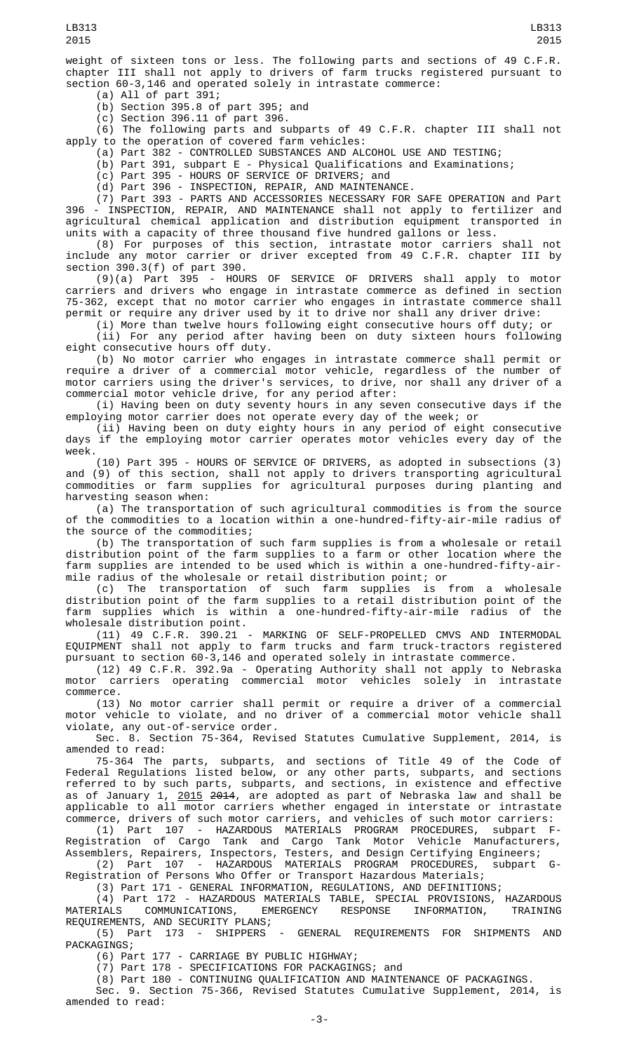weight of sixteen tons or less. The following parts and sections of 49 C.F.R. chapter III shall not apply to drivers of farm trucks registered pursuant to section 60-3,146 and operated solely in intrastate commerce:

(a) All of part 391;

(b) Section 395.8 of part 395; and (c) Section 396.11 of part 396.

(6) The following parts and subparts of 49 C.F.R. chapter III shall not apply to the operation of covered farm vehicles:

(a) Part 382 - CONTROLLED SUBSTANCES AND ALCOHOL USE AND TESTING;

(b) Part 391, subpart E - Physical Qualifications and Examinations;

(c) Part 395 - HOURS OF SERVICE OF DRIVERS; and

(d) Part 396 - INSPECTION, REPAIR, AND MAINTENANCE.

(7) Part 393 - PARTS AND ACCESSORIES NECESSARY FOR SAFE OPERATION and Part 396 - INSPECTION, REPAIR, AND MAINTENANCE shall not apply to fertilizer and agricultural chemical application and distribution equipment transported in units with a capacity of three thousand five hundred gallons or less.

(8) For purposes of this section, intrastate motor carriers shall not include any motor carrier or driver excepted from 49 C.F.R. chapter III by section 390.3(f) of part 390.

(9)(a) Part 395 - HOURS OF SERVICE OF DRIVERS shall apply to motor carriers and drivers who engage in intrastate commerce as defined in section 75-362, except that no motor carrier who engages in intrastate commerce shall permit or require any driver used by it to drive nor shall any driver drive:

(i) More than twelve hours following eight consecutive hours off duty; or (ii) For any period after having been on duty sixteen hours following eight consecutive hours off duty.

(b) No motor carrier who engages in intrastate commerce shall permit or require a driver of a commercial motor vehicle, regardless of the number of motor carriers using the driver's services, to drive, nor shall any driver of a commercial motor vehicle drive, for any period after:

(i) Having been on duty seventy hours in any seven consecutive days if the employing motor carrier does not operate every day of the week; or

(ii) Having been on duty eighty hours in any period of eight consecutive days if the employing motor carrier operates motor vehicles every day of the week.

(10) Part 395 - HOURS OF SERVICE OF DRIVERS, as adopted in subsections (3) and (9) of this section, shall not apply to drivers transporting agricultural commodities or farm supplies for agricultural purposes during planting and harvesting season when:

(a) The transportation of such agricultural commodities is from the source of the commodities to a location within a one-hundred-fifty-air-mile radius of the source of the commodities;

(b) The transportation of such farm supplies is from a wholesale or retail distribution point of the farm supplies to a farm or other location where the farm supplies are intended to be used which is within a one-hundred-fifty-airmile radius of the wholesale or retail distribution point; or

(c) The transportation of such farm supplies is from a wholesale distribution point of the farm supplies to a retail distribution point of the farm supplies which is within a one-hundred-fifty-air-mile radius of the wholesale distribution point.

(11) 49 C.F.R. 390.21 - MARKING OF SELF-PROPELLED CMVS AND INTERMODAL EQUIPMENT shall not apply to farm trucks and farm truck-tractors registered pursuant to section 60-3,146 and operated solely in intrastate commerce.

(12) 49 C.F.R. 392.9a - Operating Authority shall not apply to Nebraska motor carriers operating commercial motor vehicles solely in intrastate commerce.

(13) No motor carrier shall permit or require a driver of a commercial motor vehicle to violate, and no driver of a commercial motor vehicle shall violate, any out-of-service order.

Sec. 8. Section 75-364, Revised Statutes Cumulative Supplement, 2014, is amended to read:

75-364 The parts, subparts, and sections of Title 49 of the Code of Federal Regulations listed below, or any other parts, subparts, and sections referred to by such parts, subparts, and sections, in existence and effective as of January 1, <u>2015</u> <del>2014</del>, are adopted as part of Nebraska law and shall be applicable to all motor carriers whether engaged in interstate or intrastate commerce, drivers of such motor carriers, and vehicles of such motor carriers:

(1) Part 107 - HAZARDOUS MATERIALS PROGRAM PROCEDURES, subpart F-Registration of Cargo Tank and Cargo Tank Motor Vehicle Manufacturers, Assemblers, Repairers, Inspectors, Testers, and Design Certifying Engineers;

(2) Part 107 - HAZARDOUS MATERIALS PROGRAM PROCEDURES, subpart G-Registration of Persons Who Offer or Transport Hazardous Materials;

(3) Part 171 - GENERAL INFORMATION, REGULATIONS, AND DEFINITIONS;

(4) Part 172 - HAZARDOUS MATERIALS TABLE, SPECIAL PROVISIONS, HAZARDOUS MATERIALS COMMUNICATIONS, EMERGENCY RESPONSE INFORMATION, TRAINING REQUIREMENTS, AND SECURITY PLANS;<br>(5) Part 173 - SHIPPERS

- GENERAL REQUIREMENTS FOR SHIPMENTS AND PACKAGINGS;

(6) Part 177 - CARRIAGE BY PUBLIC HIGHWAY;

(7) Part 178 - SPECIFICATIONS FOR PACKAGINGS; and

(8) Part 180 - CONTINUING QUALIFICATION AND MAINTENANCE OF PACKAGINGS.

Sec. 9. Section 75-366, Revised Statutes Cumulative Supplement, 2014, is amended to read: